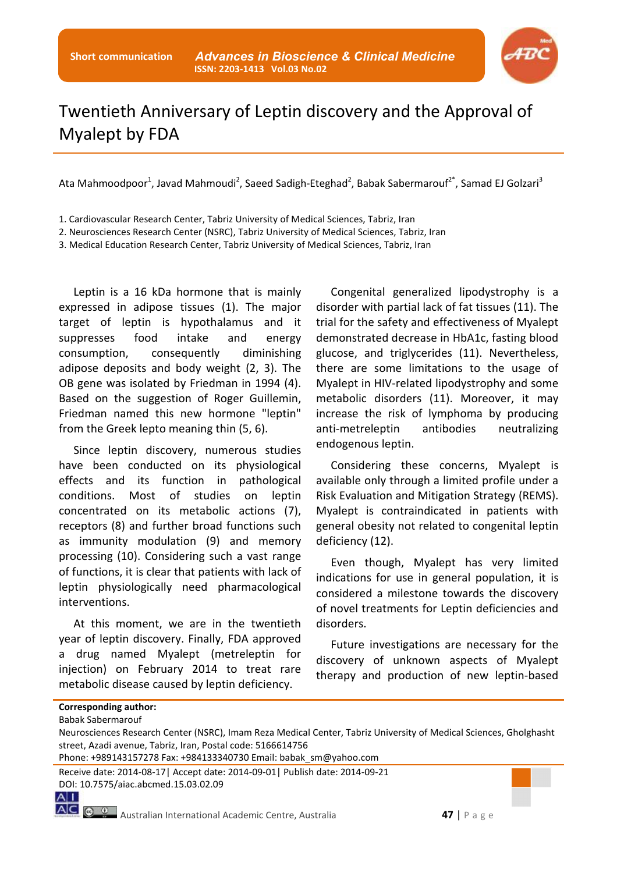

## Twentieth Anniversary of Leptin discovery and the Approval of Myalept by FDA

Ata Mahmoodpoor<sup>1</sup>, Javad Mahmoudi<sup>2</sup>, Saeed Sadigh-Eteghad<sup>2</sup>, Babak Sabermarouf<sup>2\*</sup>, Samad EJ Golzari<sup>3</sup>

1. Cardiovascular Research Center, Tabriz University of Medical Sciences, Tabriz, Iran

2. Neurosciences Research Center (NSRC), Tabriz University of Medical Sciences, Tabriz, Iran

3. Medical Education Research Center, Tabriz University of Medical Sciences, Tabriz, Iran

Leptin is a 16 kDa hormone that is mainly expressed in adipose tissues (1). The major target of leptin is hypothalamus and it suppresses food intake and energy consumption, consequently diminishing adipose deposits and body weight (2, 3). The OB gene was isolated by Friedman in 1994 (4). Based on the suggestion of Roger Guillemin, Friedman named this new hormone "leptin" from the Greek lepto meaning thin (5, 6).

Since leptin discovery, numerous studies have been conducted on its physiological effects and its function in pathological conditions. Most of studies on leptin concentrated on its metabolic actions (7), receptors (8) and further broad functions such as immunity modulation (9) and memory processing (10). Considering such a vast range of functions, it is clear that patients with lack of leptin physiologically need pharmacological interventions.

At this moment, we are in the twentieth year of leptin discovery. Finally, FDA approved a drug named Myalept (metreleptin for injection) on February 2014 to treat rare metabolic disease caused by leptin deficiency.

Congenital generalized lipodystrophy is a disorder with partial lack of fat tissues (11). The trial for the safety and effectiveness of Myalept demonstrated decrease in HbA1c, fasting blood glucose, and triglycerides (11). Nevertheless, there are some limitations to the usage of Myalept in HIV-related lipodystrophy and some metabolic disorders (11). Moreover, it may increase the risk of lymphoma by producing anti-metreleptin antibodies neutralizing endogenous leptin.

Considering these concerns, Myalept is available only through a limited profile under a Risk Evaluation and Mitigation Strategy (REMS). Myalept is contraindicated in patients with general obesity not related to congenital leptin deficiency (12).

Even though, Myalept has very limited indications for use in general population, it is considered a milestone towards the discovery of novel treatments for Leptin deficiencies and disorders.

Future investigations are necessary for the discovery of unknown aspects of Myalept therapy and production of new leptin-based

|  |  |  | Corresponding author: |
|--|--|--|-----------------------|
|  |  |  |                       |

Babak Sabermarouf

Receive date: 2014-08-17| Accept date: 2014-09-01| Publish date: 2014-09-21 DOI: 10.7575/aiac.abcmed.15.03.02.09

 $A|I|$ 

Neurosciences Research Center (NSRC), Imam Reza Medical Center, Tabriz University of Medical Sciences, Gholghasht street, Azadi avenue, Tabriz, Iran, Postal code: 5166614756

Phone: +989143157278 Fax: +984133340730 Email: babak\_sm@yahoo.com